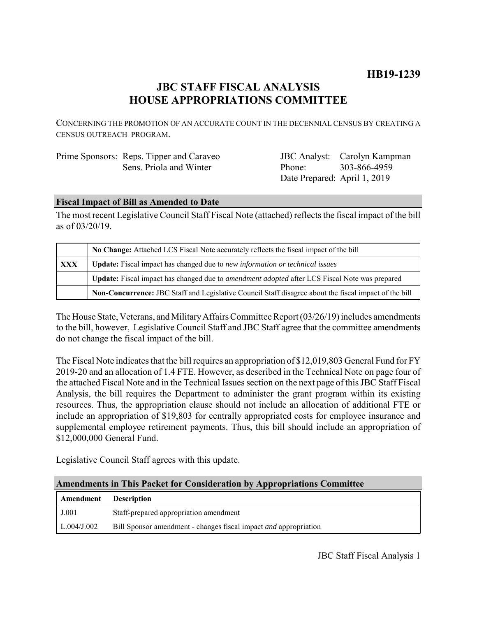# **JBC STAFF FISCAL ANALYSIS HOUSE APPROPRIATIONS COMMITTEE**

CONCERNING THE PROMOTION OF AN ACCURATE COUNT IN THE DECENNIAL CENSUS BY CREATING A CENSUS OUTREACH PROGRAM.

| Prime Sponsors: Reps. Tipper and Caraveo |
|------------------------------------------|
| Sens. Priola and Winter                  |

JBC Analyst: Carolyn Kampman Phone: Date Prepared: April 1, 2019 303-866-4959

# **Fiscal Impact of Bill as Amended to Date**

The most recent Legislative Council Staff Fiscal Note (attached) reflects the fiscal impact of the bill as of 03/20/19.

|            | No Change: Attached LCS Fiscal Note accurately reflects the fiscal impact of the bill                       |  |
|------------|-------------------------------------------------------------------------------------------------------------|--|
| <b>XXX</b> | <b>Update:</b> Fiscal impact has changed due to new information or technical issues                         |  |
|            | <b>Update:</b> Fiscal impact has changed due to <i>amendment adopted</i> after LCS Fiscal Note was prepared |  |
|            | Non-Concurrence: JBC Staff and Legislative Council Staff disagree about the fiscal impact of the bill       |  |

The House State, Veterans, and Military Affairs Committee Report (03/26/19) includes amendments to the bill, however, Legislative Council Staff and JBC Staff agree that the committee amendments do not change the fiscal impact of the bill.

The Fiscal Note indicates that the bill requires an appropriation of \$12,019,803 General Fund for FY 2019-20 and an allocation of 1.4 FTE. However, as described in the Technical Note on page four of the attached Fiscal Note and in the Technical Issues section on the next page of this JBC Staff Fiscal Analysis, the bill requires the Department to administer the grant program within its existing resources. Thus, the appropriation clause should not include an allocation of additional FTE or include an appropriation of \$19,803 for centrally appropriated costs for employee insurance and supplemental employee retirement payments. Thus, this bill should include an appropriation of \$12,000,000 General Fund.

Legislative Council Staff agrees with this update.

#### **Amendments in This Packet for Consideration by Appropriations Committee**

| <b>Amendment</b> Description |                                                                         |
|------------------------------|-------------------------------------------------------------------------|
| J.001                        | Staff-prepared appropriation amendment                                  |
| L.004/J.002                  | Bill Sponsor amendment - changes fiscal impact <i>and</i> appropriation |